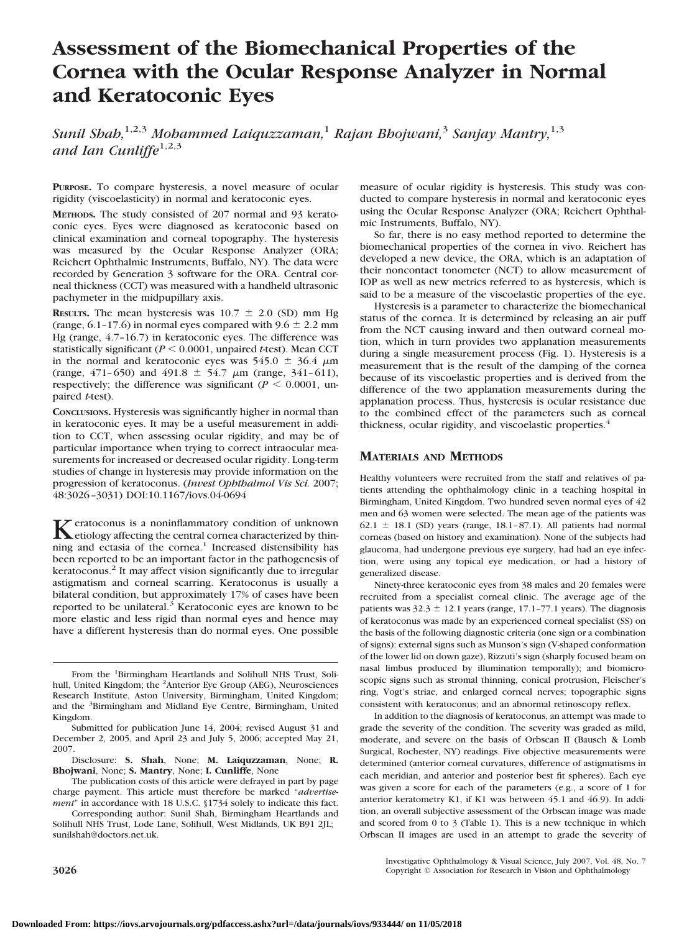# **Assessment of the Biomechanical Properties of the Cornea with the Ocular Response Analyzer in Normal and Keratoconic Eyes**

*Sunil Shah,*1,2,3 *Mohammed Laiquzzaman,*<sup>1</sup> *Rajan Bhojwani,*<sup>3</sup> *Sanjay Mantry,*1,3 and Ian Cunliffe<sup>1,2,3</sup>

**PURPOSE.** To compare hysteresis, a novel measure of ocular rigidity (viscoelasticity) in normal and keratoconic eyes.

**METHODS.** The study consisted of 207 normal and 93 keratoconic eyes. Eyes were diagnosed as keratoconic based on clinical examination and corneal topography. The hysteresis was measured by the Ocular Response Analyzer (ORA; Reichert Ophthalmic Instruments, Buffalo, NY). The data were recorded by Generation 3 software for the ORA. Central corneal thickness (CCT) was measured with a handheld ultrasonic pachymeter in the midpupillary axis.

**RESULTS.** The mean hysteresis was  $10.7 \pm 2.0$  (SD) mm Hg (range,  $6.1$ -17.6) in normal eyes compared with  $9.6 \pm 2.2$  mm Hg (range, 4.7–16.7) in keratoconic eyes. The difference was statistically significant ( $P < 0.0001$ , unpaired *t*-test). Mean CCT in the normal and keratoconic eyes was  $545.0 \pm 36.4 \mu m$ (range,  $471-650$ ) and  $491.8 \pm 54.7 \mu m$  (range,  $341-611$ ), respectively; the difference was significant ( $P \le 0.0001$ , unpaired *t*-test).

**CONCLUSIONS.** Hysteresis was significantly higher in normal than in keratoconic eyes. It may be a useful measurement in addition to CCT, when assessing ocular rigidity, and may be of particular importance when trying to correct intraocular measurements for increased or decreased ocular rigidity. Long-term studies of change in hysteresis may provide information on the progression of keratoconus. (*Invest Ophthalmol Vis Sci.* 2007; 48:3026–3031) DOI:10.1167/iovs.04-0694

Keratoconus is a noninflammatory condition of unknown<br>
etiology affecting the central cornea characterized by thinning and ectasia of the cornea.<sup>1</sup> Increased distensibility has been reported to be an important factor in the pathogenesis of keratoconus.<sup>2</sup> It may affect vision significantly due to irregular astigmatism and corneal scarring. Keratoconus is usually a bilateral condition, but approximately 17% of cases have been reported to be unilateral.<sup>3</sup> Keratoconic eyes are known to be more elastic and less rigid than normal eyes and hence may have a different hysteresis than do normal eyes. One possible measure of ocular rigidity is hysteresis. This study was conducted to compare hysteresis in normal and keratoconic eyes using the Ocular Response Analyzer (ORA; Reichert Ophthalmic Instruments, Buffalo, NY).

So far, there is no easy method reported to determine the biomechanical properties of the cornea in vivo. Reichert has developed a new device, the ORA, which is an adaptation of their noncontact tonometer (NCT) to allow measurement of IOP as well as new metrics referred to as hysteresis, which is said to be a measure of the viscoelastic properties of the eye.

Hysteresis is a parameter to characterize the biomechanical status of the cornea. It is determined by releasing an air puff from the NCT causing inward and then outward corneal motion, which in turn provides two applanation measurements during a single measurement process (Fig. 1). Hysteresis is a measurement that is the result of the damping of the cornea because of its viscoelastic properties and is derived from the difference of the two applanation measurements during the applanation process. Thus, hysteresis is ocular resistance due to the combined effect of the parameters such as corneal thickness, ocular rigidity, and viscoelastic properties.<sup>4</sup>

## **MATERIALS AND METHODS**

Healthy volunteers were recruited from the staff and relatives of patients attending the ophthalmology clinic in a teaching hospital in Birmingham, United Kingdom. Two hundred seven normal eyes of 42 men and 63 women were selected. The mean age of the patients was 62.1  $\pm$  18.1 (SD) years (range, 18.1-87.1). All patients had normal corneas (based on history and examination). None of the subjects had glaucoma, had undergone previous eye surgery, had had an eye infection, were using any topical eye medication, or had a history of generalized disease.

Ninety-three keratoconic eyes from 38 males and 20 females were recruited from a specialist corneal clinic. The average age of the patients was  $32.3 \pm 12.1$  years (range, 17.1–77.1 years). The diagnosis of keratoconus was made by an experienced corneal specialist (SS) on the basis of the following diagnostic criteria (one sign or a combination of signs): external signs such as Munson's sign (V-shaped conformation of the lower lid on down gaze), Rizzuti's sign (sharply focused beam on nasal limbus produced by illumination temporally); and biomicroscopic signs such as stromal thinning, conical protrusion, Fleischer's ring, Vogt's striae, and enlarged corneal nerves; topographic signs consistent with keratoconus; and an abnormal retinoscopy reflex.

In addition to the diagnosis of keratoconus, an attempt was made to grade the severity of the condition. The severity was graded as mild, moderate, and severe on the basis of Orbscan II (Bausch & Lomb Surgical, Rochester, NY) readings. Five objective measurements were determined (anterior corneal curvatures, difference of astigmatisms in each meridian, and anterior and posterior best fit spheres). Each eye was given a score for each of the parameters (e.g., a score of 1 for anterior keratometry K1, if K1 was between 45.1 and 46.9). In addition, an overall subjective assessment of the Orbscan image was made and scored from 0 to 3 (Table 1). This is a new technique in which Orbscan II images are used in an attempt to grade the severity of

From the <sup>1</sup>Birmingham Heartlands and Solihull NHS Trust, Solihull, United Kingdom; the <sup>2</sup>Anterior Eye Group (AEG), Neurosciences Research Institute, Aston University, Birmingham, United Kingdom; and the <sup>3</sup>Birmingham and Midland Eye Centre, Birmingham, United Kingdom.

Submitted for publication June 14, 2004; revised August 31 and December 2, 2005, and April 23 and July 5, 2006; accepted May 21, 2007.

Disclosure: **S. Shah**, None; **M. Laiquzzaman**, None; **R. Bhojwani**, None; **S. Mantry**, None; **I. Cunliffe**, None

The publication costs of this article were defrayed in part by page charge payment. This article must therefore be marked "*advertisement*" in accordance with 18 U.S.C. §1734 solely to indicate this fact.

Corresponding author: Sunil Shah, Birmingham Heartlands and Solihull NHS Trust, Lode Lane, Solihull, West Midlands, UK B91 2JL; sunilshah@doctors.net.uk.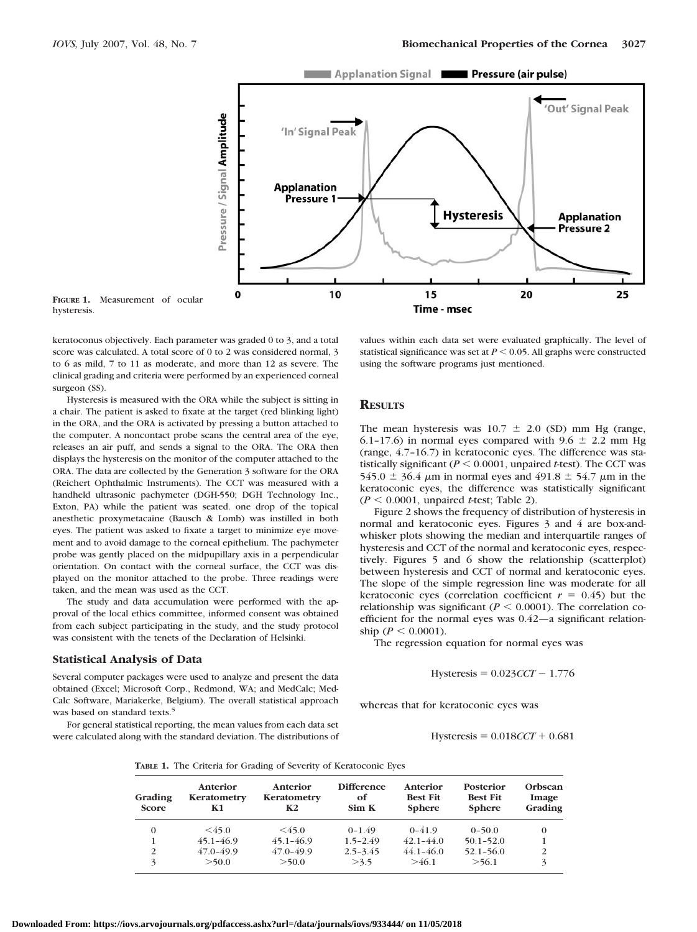

**FIGURE 1.** Measurement of ocular hysteresis.

keratoconus objectively. Each parameter was graded 0 to 3, and a total score was calculated. A total score of 0 to 2 was considered normal, 3 to 6 as mild, 7 to 11 as moderate, and more than 12 as severe. The clinical grading and criteria were performed by an experienced corneal surgeon (SS).

Hysteresis is measured with the ORA while the subject is sitting in a chair. The patient is asked to fixate at the target (red blinking light) in the ORA, and the ORA is activated by pressing a button attached to the computer. A noncontact probe scans the central area of the eye, releases an air puff, and sends a signal to the ORA. The ORA then displays the hysteresis on the monitor of the computer attached to the ORA. The data are collected by the Generation 3 software for the ORA (Reichert Ophthalmic Instruments). The CCT was measured with a handheld ultrasonic pachymeter (DGH-550; DGH Technology Inc., Exton, PA) while the patient was seated. one drop of the topical anesthetic proxymetacaine (Bausch & Lomb) was instilled in both eyes. The patient was asked to fixate a target to minimize eye movement and to avoid damage to the corneal epithelium. The pachymeter probe was gently placed on the midpupillary axis in a perpendicular orientation. On contact with the corneal surface, the CCT was displayed on the monitor attached to the probe. Three readings were taken, and the mean was used as the CCT.

The study and data accumulation were performed with the approval of the local ethics committee, informed consent was obtained from each subject participating in the study, and the study protocol was consistent with the tenets of the Declaration of Helsinki.

#### **Statistical Analysis of Data**

Several computer packages were used to analyze and present the data obtained (Excel; Microsoft Corp., Redmond, WA; and MedCalc; Med-Calc Software, Mariakerke, Belgium). The overall statistical approach was based on standard texts.<sup>5</sup>

For general statistical reporting, the mean values from each data set were calculated along with the standard deviation. The distributions of values within each data set were evaluated graphically. The level of statistical significance was set at  $P \le 0.05$ . All graphs were constructed using the software programs just mentioned.

### **RESULTS**

The mean hysteresis was  $10.7 \pm 2.0$  (SD) mm Hg (range, 6.1-17.6) in normal eyes compared with 9.6  $\pm$  2.2 mm Hg (range, 4.7–16.7) in keratoconic eyes. The difference was statistically significant ( $P \le 0.0001$ , unpaired *t*-test). The CCT was 545.0  $\pm$  36.4  $\mu$ m in normal eyes and 491.8  $\pm$  54.7  $\mu$ m in the keratoconic eyes, the difference was statistically significant  $(P \le 0.0001$ , unpaired *t*-test; Table 2).

Figure 2 shows the frequency of distribution of hysteresis in normal and keratoconic eyes. Figures 3 and 4 are box-andwhisker plots showing the median and interquartile ranges of hysteresis and CCT of the normal and keratoconic eyes, respectively. Figures 5 and 6 show the relationship (scatterplot) between hysteresis and CCT of normal and keratoconic eyes. The slope of the simple regression line was moderate for all keratoconic eyes (correlation coefficient  $r = 0.45$ ) but the relationship was significant ( $P \leq 0.0001$ ). The correlation coefficient for the normal eyes was 0.42—a significant relationship ( $P < 0.0001$ ).

The regression equation for normal eyes was

$$
Hysteresis = 0.023CCT - 1.776
$$

whereas that for keratoconic eyes was

 $Hysteresis = 0.018 *CCT* + 0.681$ 

**TABLE 1.** The Criteria for Grading of Severity of Keratoconic Eyes

| Grading<br><b>Score</b> | Anterior<br>Keratometry<br>К1 | Anterior<br>Keratometry<br>К2 | <b>Difference</b><br>оf<br>Sim K | Anterior<br><b>Best Fit</b><br><b>Sphere</b> | Posterior<br><b>Best Fit</b><br><b>Sphere</b> | Orbscan<br>Image<br>Grading |
|-------------------------|-------------------------------|-------------------------------|----------------------------------|----------------------------------------------|-----------------------------------------------|-----------------------------|
| $\Omega$                | $<$ 45.0                      | $<$ 45.0                      | $0 - 1.49$                       | $0 - 41.9$                                   | $0 - 50.0$                                    | $\Omega$                    |
|                         | $45.1 - 46.9$                 | $45.1 - 46.9$                 | $1.5 - 2.49$                     | $42.1 - 44.0$                                | $50.1 - 52.0$                                 |                             |
| 2                       | $47.0 - 49.9$                 | $47.0 - 49.9$                 | $2.5 - 3.45$                     | $44.1 - 46.0$                                | $52.1 - 56.0$                                 |                             |
| 3                       | >50.0                         | >50.0                         | >3.5                             | >46.1                                        | >56.1                                         |                             |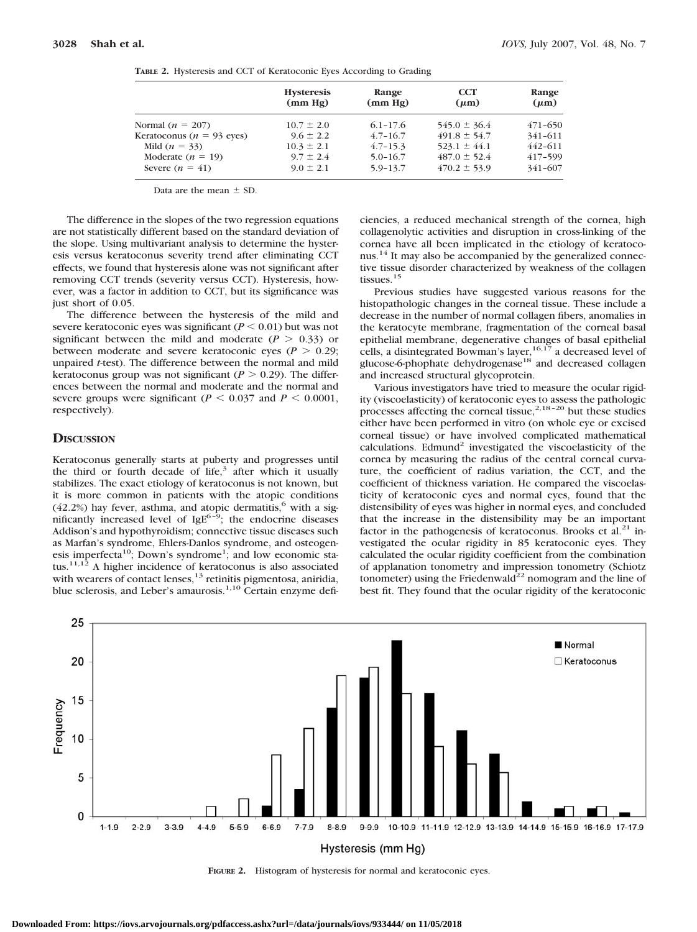|                              | <b>Hysteresis</b><br>(mm Hg) | Range<br>(mm Hg) | <b>CCT</b><br>$(\mu m)$ | Range<br>$(\mu m)$ |
|------------------------------|------------------------------|------------------|-------------------------|--------------------|
| Normal $(n = 207)$           | $10.7 \pm 2.0$               | $6.1 - 17.6$     | $545.0 \pm 36.4$        | $471 - 650$        |
| Keratoconus ( $n = 93$ eyes) | $9.6 \pm 2.2$                | $4.7 - 16.7$     | $491.8 \pm 54.7$        | 341-611            |
| Mild $(n = 33)$              | $10.3 \pm 2.1$               | $4.7 - 15.3$     | $523.1 \pm 44.1$        | $442 - 611$        |
| Moderate $(n = 19)$          | $9.7 \pm 2.4$                | $5.0 - 16.7$     | $487.0 \pm 52.4$        | 417-599            |
| Severe $(n = 41)$            | $9.0 \pm 2.1$                | $5.9 - 13.7$     | $470.2 \pm 53.9$        | 341-607            |

**TABLE 2.** Hysteresis and CCT of Keratoconic Eyes According to Grading

Data are the mean  $\pm$  SD.

The difference in the slopes of the two regression equations are not statistically different based on the standard deviation of the slope. Using multivariant analysis to determine the hysteresis versus keratoconus severity trend after eliminating CCT effects, we found that hysteresis alone was not significant after removing CCT trends (severity versus CCT). Hysteresis, however, was a factor in addition to CCT, but its significance was just short of 0.05.

The difference between the hysteresis of the mild and severe keratoconic eyes was significant  $(P \le 0.01)$  but was not significant between the mild and moderate  $(P > 0.33)$  or between moderate and severe keratoconic eyes ( $P > 0.29$ ; unpaired *t*-test). The difference between the normal and mild keratoconus group was not significant ( $P > 0.29$ ). The differences between the normal and moderate and the normal and severe groups were significant ( $P \le 0.037$  and  $P \le 0.0001$ , respectively).

## **DISCUSSION**

Keratoconus generally starts at puberty and progresses until the third or fourth decade of life, $3$  after which it usually stabilizes. The exact etiology of keratoconus is not known, but it is more common in patients with the atopic conditions (42.2%) hay fever, asthma, and atopic dermatitis,<sup>6</sup> with a significantly increased level of  $IgE^{6-9}$ ; the endocrine diseases Addison's and hypothyroidism; connective tissue diseases such as Marfan's syndrome, Ehlers-Danlos syndrome, and osteogenesis imperfecta<sup>10</sup>; Down's syndrome<sup>1</sup>; and low economic status.<sup>11,12</sup> A higher incidence of keratoconus is also associated with wearers of contact lenses,<sup>13</sup> retinitis pigmentosa, aniridia, blue sclerosis, and Leber's amaurosis.<sup>1,10</sup> Certain enzyme defi-

ciencies, a reduced mechanical strength of the cornea, high collagenolytic activities and disruption in cross-linking of the cornea have all been implicated in the etiology of keratoconus.14 It may also be accompanied by the generalized connective tissue disorder characterized by weakness of the collagen tissues.<sup>15</sup>

Previous studies have suggested various reasons for the histopathologic changes in the corneal tissue. These include a decrease in the number of normal collagen fibers, anomalies in the keratocyte membrane, fragmentation of the corneal basal epithelial membrane, degenerative changes of basal epithelial cells, a disintegrated Bowman's layer,<sup>16,17</sup> a decreased level of glucose-6-phophate dehydrogenase<sup>18</sup> and decreased collagen and increased structural glycoprotein.

Various investigators have tried to measure the ocular rigidity (viscoelasticity) of keratoconic eyes to assess the pathologic processes affecting the corneal tissue, $2,18-20$  but these studies either have been performed in vitro (on whole eye or excised corneal tissue) or have involved complicated mathematical calculations. Edmund<sup>2</sup> investigated the viscoelasticity of the cornea by measuring the radius of the central corneal curvature, the coefficient of radius variation, the CCT, and the coefficient of thickness variation. He compared the viscoelasticity of keratoconic eyes and normal eyes, found that the distensibility of eyes was higher in normal eyes, and concluded that the increase in the distensibility may be an important factor in the pathogenesis of keratoconus. Brooks et al. $^{21}$  investigated the ocular rigidity in 85 keratoconic eyes. They calculated the ocular rigidity coefficient from the combination of applanation tonometry and impression tonometry (Schiotz tonometer) using the Friedenwald<sup>22</sup> nomogram and the line of best fit. They found that the ocular rigidity of the keratoconic



**FIGURE 2.** Histogram of hysteresis for normal and keratoconic eyes.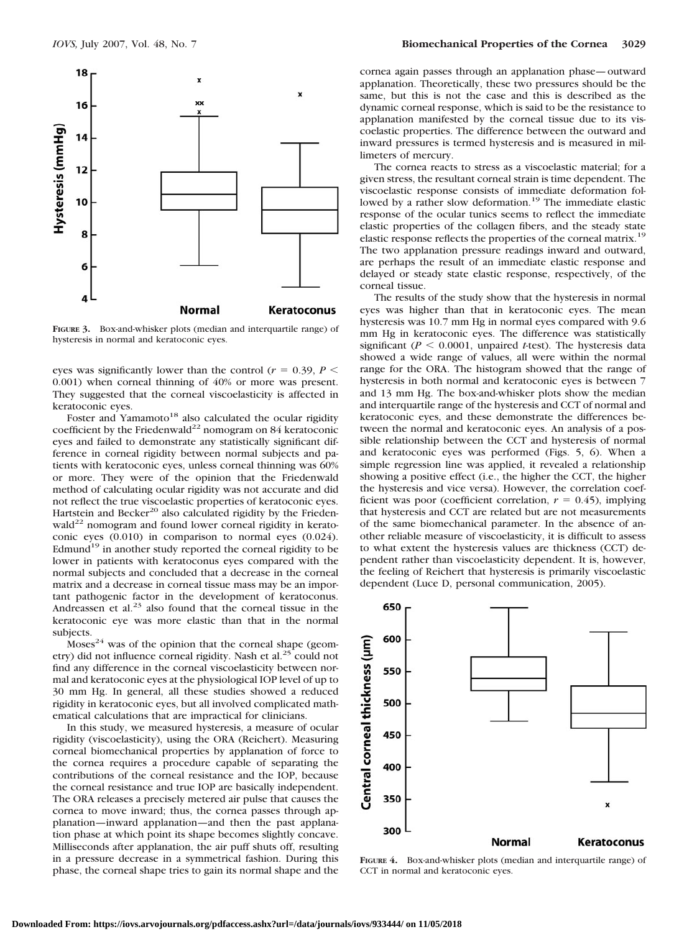

**FIGURE 3.** Box-and-whisker plots (median and interquartile range) of hysteresis in normal and keratoconic eyes.

eyes was significantly lower than the control ( $r = 0.39$ ,  $P \le$ 0.001) when corneal thinning of 40% or more was present. They suggested that the corneal viscoelasticity is affected in keratoconic eyes.

Foster and Yamamoto<sup>18</sup> also calculated the ocular rigidity coefficient by the Friedenwald<sup>22</sup> nomogram on 84 keratoconic eyes and failed to demonstrate any statistically significant difference in corneal rigidity between normal subjects and patients with keratoconic eyes, unless corneal thinning was 60% or more. They were of the opinion that the Friedenwald method of calculating ocular rigidity was not accurate and did not reflect the true viscoelastic properties of keratoconic eyes. Hartstein and Becker<sup>20</sup> also calculated rigidity by the Frieden- $\text{wald}^{22}$  nomogram and found lower corneal rigidity in keratoconic eyes (0.010) in comparison to normal eyes (0.024). Edmund $19$  in another study reported the corneal rigidity to be lower in patients with keratoconus eyes compared with the normal subjects and concluded that a decrease in the corneal matrix and a decrease in corneal tissue mass may be an important pathogenic factor in the development of keratoconus. Andreassen et al.<sup>23</sup> also found that the corneal tissue in the keratoconic eye was more elastic than that in the normal subjects.

 $Moses<sup>24</sup>$  was of the opinion that the corneal shape (geometry) did not influence corneal rigidity. Nash et al.<sup>25</sup> could not find any difference in the corneal viscoelasticity between normal and keratoconic eyes at the physiological IOP level of up to 30 mm Hg. In general, all these studies showed a reduced rigidity in keratoconic eyes, but all involved complicated mathematical calculations that are impractical for clinicians.

In this study, we measured hysteresis, a measure of ocular rigidity (viscoelasticity), using the ORA (Reichert). Measuring corneal biomechanical properties by applanation of force to the cornea requires a procedure capable of separating the contributions of the corneal resistance and the IOP, because the corneal resistance and true IOP are basically independent. The ORA releases a precisely metered air pulse that causes the cornea to move inward; thus, the cornea passes through applanation—inward applanation—and then the past applanation phase at which point its shape becomes slightly concave. Milliseconds after applanation, the air puff shuts off, resulting in a pressure decrease in a symmetrical fashion. During this phase, the corneal shape tries to gain its normal shape and the

cornea again passes through an applanation phase—outward applanation. Theoretically, these two pressures should be the same, but this is not the case and this is described as the dynamic corneal response, which is said to be the resistance to applanation manifested by the corneal tissue due to its viscoelastic properties. The difference between the outward and inward pressures is termed hysteresis and is measured in millimeters of mercury.

The cornea reacts to stress as a viscoelastic material; for a given stress, the resultant corneal strain is time dependent. The viscoelastic response consists of immediate deformation followed by a rather slow deformation.<sup>19</sup> The immediate elastic response of the ocular tunics seems to reflect the immediate elastic properties of the collagen fibers, and the steady state elastic response reflects the properties of the corneal matrix.<sup>19</sup> The two applanation pressure readings inward and outward, are perhaps the result of an immediate elastic response and delayed or steady state elastic response, respectively, of the corneal tissue.

The results of the study show that the hysteresis in normal eyes was higher than that in keratoconic eyes. The mean hysteresis was 10.7 mm Hg in normal eyes compared with 9.6 mm Hg in keratoconic eyes. The difference was statistically significant ( $P \le 0.0001$ , unpaired *t*-test). The hysteresis data showed a wide range of values, all were within the normal range for the ORA. The histogram showed that the range of hysteresis in both normal and keratoconic eyes is between 7 and 13 mm Hg. The box-and-whisker plots show the median and interquartile range of the hysteresis and CCT of normal and keratoconic eyes, and these demonstrate the differences between the normal and keratoconic eyes. An analysis of a possible relationship between the CCT and hysteresis of normal and keratoconic eyes was performed (Figs. 5, 6). When a simple regression line was applied, it revealed a relationship showing a positive effect (i.e., the higher the CCT, the higher the hysteresis and vice versa). However, the correlation coefficient was poor (coefficient correlation,  $r = 0.45$ ), implying that hysteresis and CCT are related but are not measurements of the same biomechanical parameter. In the absence of another reliable measure of viscoelasticity, it is difficult to assess to what extent the hysteresis values are thickness (CCT) dependent rather than viscoelasticity dependent. It is, however, the feeling of Reichert that hysteresis is primarily viscoelastic dependent (Luce D, personal communication, 2005).



**FIGURE 4.** Box-and-whisker plots (median and interquartile range) of CCT in normal and keratoconic eyes.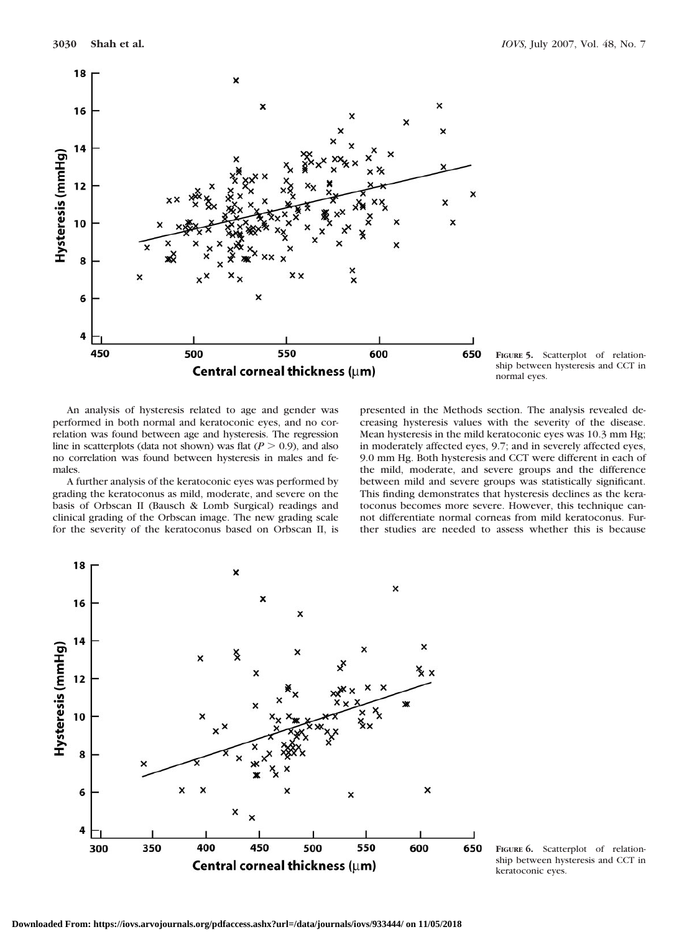



An analysis of hysteresis related to age and gender was performed in both normal and keratoconic eyes, and no correlation was found between age and hysteresis. The regression line in scatterplots (data not shown) was flat  $(P > 0.9)$ , and also no correlation was found between hysteresis in males and females.

A further analysis of the keratoconic eyes was performed by grading the keratoconus as mild, moderate, and severe on the basis of Orbscan II (Bausch & Lomb Surgical) readings and clinical grading of the Orbscan image. The new grading scale for the severity of the keratoconus based on Orbscan II, is

presented in the Methods section. The analysis revealed decreasing hysteresis values with the severity of the disease. Mean hysteresis in the mild keratoconic eyes was 10.3 mm Hg; in moderately affected eyes, 9.7; and in severely affected eyes, 9.0 mm Hg. Both hysteresis and CCT were different in each of the mild, moderate, and severe groups and the difference between mild and severe groups was statistically significant. This finding demonstrates that hysteresis declines as the keratoconus becomes more severe. However, this technique cannot differentiate normal corneas from mild keratoconus. Further studies are needed to assess whether this is because



**FIGURE 6.** Scatterplot of relationship between hysteresis and CCT in keratoconic eyes.